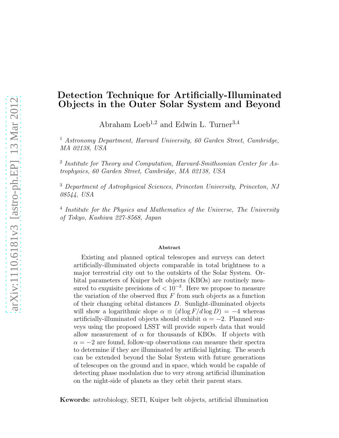# Detection Technique for Artificially-Illuminated Objects in the Outer Solar System and Beyond

Abraham Loeb<sup>1,2</sup> and Edwin L. Turner<sup>3,4</sup>

<sup>1</sup> Astronomy Department, Harvard University, 60 Garden Street, Cambridge, MA 02138, USA

<sup>2</sup> Institute for Theory and Computation, Harvard-Smithsonian Center for Astrophysics, 60 Garden Street, Cambridge, MA 02138, USA

<sup>3</sup> Department of Astrophysical Sciences, Princeton University, Princeton, NJ 08544, USA

<sup>4</sup> Institute for the Physics and Mathematics of the Universe, The University of Tokyo, Kashiwa 227-8568, Japan

#### Abstract

Existing and planned optical telescopes and surveys can detect artificially-illuminated objects comparable in total brightness to a major terrestrial city out to the outskirts of the Solar System. Orbital parameters of Kuiper belt objects (KBOs) are routinely measured to exquisite precisions of  $< 10^{-3}$ . Here we propose to measure the variation of the observed flux  $F$  from such objects as a function of their changing orbital distances D. Sunlight-illuminated objects will show a logarithmic slope  $\alpha \equiv (d \log F / d \log D) = -4$  whereas artificially-illuminated objects should exhibit  $\alpha = -2$ . Planned surveys using the proposed LSST will provide superb data that would allow measurement of  $\alpha$  for thousands of KBOs. If objects with  $\alpha = -2$  are found, follow-up observations can measure their spectra to determine if they are illuminated by artificial lighting. The search can be extended beyond the Solar System with future generations of telescopes on the ground and in space, which would be capable of detecting phase modulation due to very strong artificial illumination on the night-side of planets as they orbit their parent stars.

Kewords: astrobiology, SETI, Kuiper belt objects, artificial illumination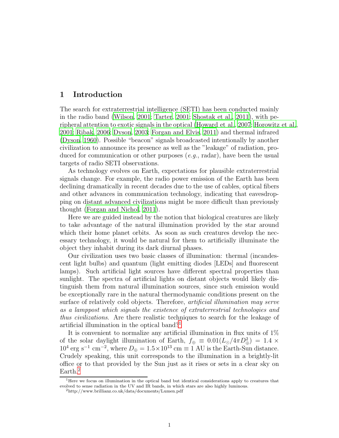## 1 Introduction

The search for extraterrestrial intelligence (SETI) has been conducted mainly in the radio band [\(Wilson](#page-9-0), [2001;](#page-9-0) [Tarter](#page-9-1), [2001;](#page-9-1) [Shostak et al.](#page-9-2), [2011\)](#page-9-2), with peripheral attention to exotic signals in the optical [\(Howard et al., 2007](#page-8-0); [Horowitz et al.](#page-8-1), [2001;](#page-8-1) [Ribak](#page-9-3), [2006](#page-9-3); [Dyson](#page-8-2), [2003](#page-8-2); [Forgan and Elvis, 2011\)](#page-8-3) and thermal infrared [\(Dyson, 1960](#page-8-4)). Possible "beacon" signals broadcasted intentionally by another civilization to announce its presence as well as the "leakage" of radiation, produced for communication or other purposes  $(e.g., \text{ radar})$ , have been the usual targets of radio SETI observations.

As technology evolves on Earth, expectations for plausible extraterrestrial signals change. For example, the radio power emission of the Earth has been declining dramatically in recent decades due to the use of cables, optical fibers and other advances in communication technology, indicating that eavesdropping on distant advanced civilizations might be more difficult than previously thought [\(Forgan and Nichol, 2011\)](#page-8-5).

Here we are guided instead by the notion that biological creatures are likely to take advantage of the natural illumination provided by the star around which their home planet orbits. As soon as such creatures develop the necessary technology, it would be natural for them to artificially illuminate the object they inhabit during its dark diurnal phases.

Our civilization uses two basic classes of illumination: thermal (incandescent light bulbs) and quantum (light emitting diodes [LEDs] and fluorescent lamps). Such artificial light sources have different spectral properties than sunlight. The spectra of artificial lights on distant objects would likely distinguish them from natural illumination sources, since such emission would be exceptionally rare in the natural thermodynamic conditions present on the surface of relatively cold objects. Therefore, *artificial illumination may serve* as a lamppost which signals the existence of extraterrestrial technologies and thus civilizations. Are there realistic techniques to search for the leakage of artificial illumination in the optical band?[1](#page-1-0)

It is convenient to normalize any artificial illumination in flux units of 1% of the solar daylight illumination of Earth,  $f_{\oplus} \equiv 0.01 (L_{\odot}/4\pi D_{\oplus}^2) = 1.4 \times 10^{-4}$  $10^4$  erg s<sup>-1</sup> cm<sup>-2</sup>, where  $D_{\oplus} = 1.5 \times 10^{13}$  cm  $\equiv 1$  AU is the Earth-Sun distance. Crudely speaking, this unit corresponds to the illumination in a brightly-lit office or to that provided by the Sun just as it rises or sets in a clear sky on Earth.<sup>[2](#page-1-1)</sup>

<sup>&</sup>lt;sup>1</sup>Here we focus on illumination in the optical band but identical considerations apply to creatures that evolved to sense radiation in the UV and IR bands, in which stars are also highly luminous.

<span id="page-1-1"></span><span id="page-1-0"></span><sup>2</sup>http://www.brillianz.co.uk/data/documents/Lumen.pdf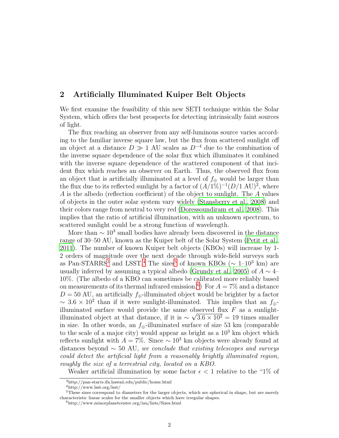## 2 Artificially Illuminated Kuiper Belt Objects

We first examine the feasibility of this new SETI technique within the Solar System, which offers the best prospects for detecting intrinsically faint sources of light.

The flux reaching an observer from any self-luminous source varies according to the familiar inverse square law, but the flux from scattered sunlight off an object at a distance  $D \gg 1$  AU scales as  $D^{-4}$  due to the combination of the inverse square dependence of the solar flux which illuminates it combined with the inverse square dependence of the scattered component of that incident flux which reaches an observer on Earth. Thus, the observed flux from an object that is artificially illuminated at a level of  $f_{\oplus}$  would be larger than the flux due to its reflected sunlight by a factor of  $(A/1\%)^{-1}(D/1 \text{ AU})^2$ , where A is the albedo (reflection coefficient) of the object to sunlight. The A values of objects in the outer solar system vary widely [\(Stansberry et al.,](#page-9-4) [2008\)](#page-9-4) and their colors range from neutral to very red [\(Doressoundiram et al., 2008\)](#page-8-6). This implies that the ratio of artificial illumination, with an unknown spectrum, to scattered sunlight could be a strong function of wavelength.

More than  $\sim 10^3$  small bodies have already been discovered in the distance range of 30–50 AU, known as the Kuiper belt of the Solar System [\(Petit et al.,](#page-8-7) [2011\)](#page-8-7). The number of known Kuiper belt objects (KBOs) will increase by 1- 2 orders of magnitude over the next decade through wide-field surveys such as Pan-STARRS<sup>[3](#page-2-0)</sup> and LSST.<sup>[4](#page-2-1)</sup> The sizes<sup>[5](#page-2-2)</sup> of known KBOs ( $\sim 1$ – $10^3$  km) are usually inferred by assuming a typical albedo [\(Grundy et al.](#page-8-8), [2005](#page-8-8)) of  $A \sim 4$ – 10%. (The albedo of a KBO can sometimes be calibrated more reliably based on measurements of its thermal infrared emission.<sup>[6](#page-2-3)</sup>) For  $A = 7\%$  and a distance  $D = 50$  AU, an artificially  $f_{\oplus}$ -illuminated object would be brighter by a factor  $\sim 3.6 \times 10^2$  than if it were sunlight-illuminated. This implies that an  $f_{\oplus}$ illuminated surface would provide the same observed flux  $F$  as a sunlightilluminated object at that distance, if it is  $\sim \sqrt{3.6 \times 10^2} = 19$  times smaller in size. In other words, an  $f_{\oplus}$ -illuminated surface of size 53 km (comparable to the scale of a major city) would appear as bright as a  $10<sup>3</sup>$  km object which reflects sunlight with  $A = 7\%$ . Since  $\sim 10^3$  km objects were already found at distances beyond  $\sim$  50 AU, we conclude that existing telescopes and surveys could detect the artificial light from a reasonably brightly illuminated region, roughly the size of a terrestrial city, located on a KBO.

Weaker artificial illumination by some factor  $\epsilon < 1$  relative to the "1% of

<sup>3</sup>http://pan-starrs.ifa.hawaii.edu/public/home.html

<span id="page-2-1"></span><span id="page-2-0"></span><sup>4</sup>http://www.lsst.org/lsst/

<sup>5</sup>These sizes correspond to diameters for the larger objects, which are spherical in shape, but are merely characteristic linear scales for the smaller objects which have irregular shapes.

<span id="page-2-3"></span><span id="page-2-2"></span> $<sup>6</sup>$ http://www.minorplanetcenter.org/iau/lists/Sizes.html</sup>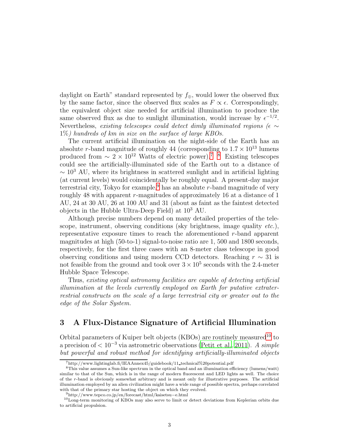daylight on Earth" standard represented by  $f_{\oplus}$ , would lower the observed flux by the same factor, since the observed flux scales as  $F \propto \epsilon$ . Correspondingly, the equivalent object size needed for artificial illumination to produce the same observed flux as due to sunlight illumination, would increase by  $\epsilon^{-1/2}$ . Nevertheless, existing telescopes could detect dimly illuminated regions ( $\epsilon \sim$  $1\%$ ) hundreds of km in size on the surface of large KBOs.

The current artificial illumination on the night-side of the Earth has an absolute r-band magnitude of roughly 44 (corresponding to  $1.7 \times 10^{13}$  lumens produced from  $\sim 2 \times 10^{12}$  Watts of electric power).<sup>[7](#page-3-0)</sup> <sup>8</sup> Existing telescopes could see the artificially-illuminated side of the Earth out to a distance of  $\sim 10^3$  AU, where its brightness in scattered sunlight and in artificial lighting (at current levels) would coincidentally be roughly equal. A present-day major terrestrial city, Tokyo for example,<sup>[9](#page-3-2)</sup> has an absolute r-band magnitude of very roughly 48 with apparent r-magnitudes of approximately 16 at a distance of 1 AU, 24 at 30 AU, 26 at 100 AU and 31 (about as faint as the faintest detected objects in the Hubble Ultra-Deep Field) at  $10^3$  AU.

Although precise numbers depend on many detailed properties of the telescope, instrument, observing conditions (sky brightness, image quality etc.), representative exposure times to reach the aforementioned  $r$ -band apparent magnitudes at high (50-to-1) signal-to-noise ratio are 1, 500 and 1800 seconds, respectively, for the first three cases with an 8-meter class telescope in good observing conditions and using modern CCD detectors. Reaching  $r \sim 31$  is not feasible from the ground and took over  $3 \times 10^5$  seconds with the 2.4-meter Hubble Space Telescope.

Thus, existing optical astronomy facilities are capable of detecting artificial illumination at the levels currently employed on Earth for putative extraterrestrial constructs on the scale of a large terrestrial city or greater out to the edge of the Solar System.

## 3 A Flux-Distance Signature of Artificial Illumination

Orbital parameters of Kuiper belt objects (KBOs) are routinely measured<sup>[10](#page-3-3)</sup> to a precision of  $\lt 10^{-3}$  via astrometric observations [\(Petit et al.](#page-8-7), [2011](#page-8-7)). A simple but powerful and robust method for identifying artificially-illuminated objects

<span id="page-3-0"></span><sup>7</sup>http://www.lightinglab.fi/IEAAnnex45/guidebook/11 technical%20potential.pdf

<span id="page-3-1"></span><sup>8</sup>This value assumes a Sun-like spectrum in the optical band and an illumination efficiency (lumens/watt) similar to that of the Sun, which is in the range of modern fluorescent and LED lights as well. The choice of the r-band is obviously somewhat arbitrary and is meant only for illustrative purposes. The artificial illumination employed by an alien civilization might have a wide range of possible spectra, perhaps correlated with that of the primary star hosting the object on which they evolved.

<span id="page-3-2"></span><sup>9</sup>http://www.tepco.co.jp/en/forecast/html/kaisetsu−e.html

<span id="page-3-3"></span><sup>10</sup>Long-term monitoring of KBOs may also serve to limit or detect deviations from Keplerian orbits due to artificial propulsion.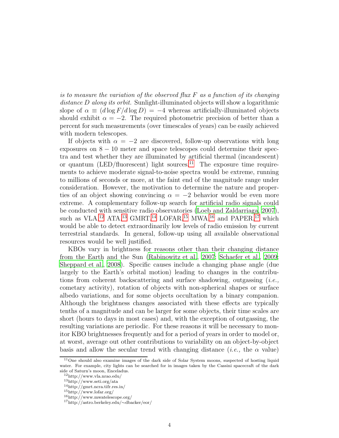is to measure the variation of the observed flux  $F$  as a function of its changing distance D along its orbit. Sunlight-illuminated objects will show a logarithmic slope of  $\alpha \equiv (d \log F / d \log D) = -4$  whereas artificially-illuminated objects should exhibit  $\alpha = -2$ . The required photometric precision of better than a percent for such measurements (over timescales of years) can be easily achieved with modern telescopes.

If objects with  $\alpha = -2$  are discovered, follow-up observations with long exposures on  $8 - 10$  meter and space telescopes could determine their spectra and test whether they are illuminated by artificial thermal (incandescent) or quantum (LED/fluorescent) light sources.<sup>[11](#page-4-0)</sup> The exposure time requirements to achieve moderate signal-to-noise spectra would be extreme, running to millions of seconds or more, at the faint end of the magnitude range under consideration. However, the motivation to determine the nature and properties of an object showing convincing  $\alpha = -2$  behavior would be even more extreme. A complementary follow-up search for artificial radio signals could be conducted with sensitive radio observatories [\(Loeb and Zaldarriaga](#page-8-9), [2007](#page-8-9)), such as VLA,<sup>[12](#page-4-1)</sup> ATA,<sup>[13](#page-4-2)</sup> GMRT,<sup>[14](#page-4-3)</sup> LOFAR,<sup>[15](#page-4-4)</sup> MWA,<sup>[16](#page-4-5)</sup> and PAPER,<sup>[17](#page-4-6)</sup> which would be able to detect extraordinarily low levels of radio emission by current terrestrial standards. In general, follow-up using all available observational resources would be well justified.

KBOs vary in brightness for reasons other than their changing distance from the Earth and the Sun [\(Rabinowitz et al.](#page-9-5), [2007](#page-9-5); [Schaefer et al., 2009;](#page-9-6) [Sheppard et al.](#page-9-7), [2008\)](#page-9-7). Specific causes include a changing phase angle (due largely to the Earth's orbital motion) leading to changes in the contributions from coherent backscattering and surface shadowing, outgassing  $(i.e.,$ cometary activity), rotation of objects with non-spherical shapes or surface albedo variations, and for some objects occultation by a binary companion. Although the brightness changes associated with these effects are typically tenths of a magnitude and can be larger for some objects, their time scales are short (hours to days in most cases) and, with the exception of outgassing, the resulting variations are periodic. For these reasons it will be necessary to monitor KBO brightnesses frequently and for a period of years in order to model or, at worst, average out other contributions to variability on an object-by-object basis and allow the secular trend with changing distance (*i.e.*, the  $\alpha$  value)

<span id="page-4-0"></span><sup>&</sup>lt;sup>11</sup>One should also examine images of the dark side of Solar System moons, suspected of hosting liquid water. For example, city lights can be searched for in images taken by the Cassini spacecraft of the dark side of Saturn's moon, Enceladus.

 $\rm ^{12}http://www.vla.nrao.edu/$ 

<span id="page-4-1"></span><sup>13</sup>http://www.seti.org/ata

<span id="page-4-2"></span><sup>14</sup>http://gmrt.ncra.tifr.res.in/

<span id="page-4-3"></span><sup>15</sup>http://www.lofar.org/

<span id="page-4-4"></span><sup>16</sup>http://www.mwatelescope.org/

<span id="page-4-6"></span><span id="page-4-5"></span><sup>17</sup>http://astro.berkeley.edu/∼dbacker/eor/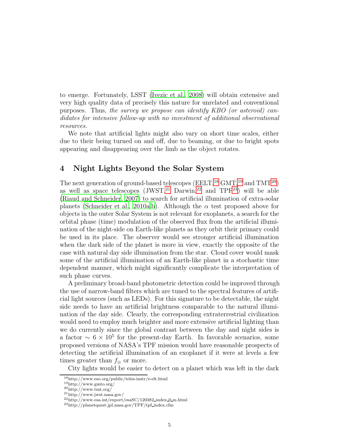to emerge. Fortunately, LSST [\(Ivezic et al.](#page-8-10), [2008\)](#page-8-10) will obtain extensive and very high quality data of precisely this nature for unrelated and conventional purposes. Thus, the survey we propose can identify KBO (or asteroid) candidates for intensive follow-up with no investment of additional observational resources.

We note that artificial lights might also vary on short time scales, either due to their being turned on and off, due to beaming, or due to bright spots appearing and disappearing over the limb as the object rotates.

## 4 Night Lights Beyond the Solar System

The next generation of ground-based telescopes ( $EELT$ ,<sup>[18](#page-5-0)</sup> GMT,<sup>[19](#page-5-1)</sup> and  $TMT<sup>20</sup>$  $TMT<sup>20</sup>$  $TMT<sup>20</sup>$ ) as well as space telescopes  $(JWST)^{21}$  $(JWST)^{21}$  $(JWST)^{21}$  Darwin,<sup>[22](#page-5-4)</sup> and TPF<sup>[23](#page-5-5)</sup>) will be able [\(Riaud and Schneider](#page-9-8), [2007\)](#page-9-8) to search for artificial illumination of extra-solar planets [\(Schneider et al., 2010a](#page-9-9)[,b\)](#page-9-10). Although the  $\alpha$  test proposed above for objects in the outer Solar System is not relevant for exoplanets, a search for the orbital phase (time) modulation of the observed flux from the artificial illumination of the night-side on Earth-like planets as they orbit their primary could be used in its place. The observer would see stronger artificial illumination when the dark side of the planet is more in view, exactly the opposite of the case with natural day side illumination from the star. Cloud cover would mask some of the artificial illumination of an Earth-like planet in a stochastic time dependent manner, which might significantly complicate the interpretation of such phase curves.

A preliminary broad-band photometric detection could be improved through the use of narrow-band filters which are tuned to the spectral features of artificial light sources (such as LEDs). For this signature to be detectable, the night side needs to have an artificial brightness comparable to the natural illumination of the day side. Clearly, the corresponding extraterrestrial civilization would need to employ much brighter and more extensive artificial lighting than we do currently since the global contrast between the day and night sides is a factor  $\sim 6 \times 10^5$  for the present-day Earth. In favorable scenarios, some proposed versions of NASA's TPF mission would have reasonable prospects of detecting the artificial illumination of an exoplanet if it were at levels a few times greater than  $f_{\oplus}$  or more.

City lights would be easier to detect on a planet which was left in the dark

<sup>18</sup>http://www.eso.org/public/teles-instr/e-elt.html

<span id="page-5-0"></span><sup>19</sup>http://www.gmto.org/

<span id="page-5-1"></span> $^{20}{\rm http://www.tmt.org/}$ 

<span id="page-5-2"></span><sup>21</sup>http://www.jwst.nasa.gov/

<span id="page-5-3"></span><sup>22</sup>http://www.esa.int/export/esaSC/120382 index 0 m.html

<span id="page-5-5"></span><span id="page-5-4"></span><sup>23</sup>http://planetquest.jpl.nasa.gov/TPF/tpf index.cfm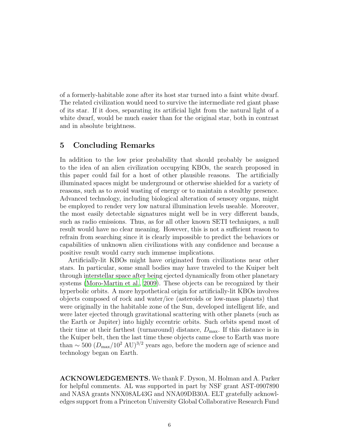of a formerly-habitable zone after its host star turned into a faint white dwarf. The related civilization would need to survive the intermediate red giant phase of its star. If it does, separating its artificial light from the natural light of a white dwarf, would be much easier than for the original star, both in contrast and in absolute brightness.

## 5 Concluding Remarks

In addition to the low prior probability that should probably be assigned to the idea of an alien civilization occupying KBOs, the search proposed in this paper could fail for a host of other plausible reasons. The artificially illuminated spaces might be underground or otherwise shielded for a variety of reasons, such as to avoid wasting of energy or to maintain a stealthy presence. Advanced technology, including biological alteration of sensory organs, might be employed to render very low natural illumination levels useable. Moreover, the most easily detectable signatures might well be in very different bands, such as radio emissions. Thus, as for all other known SETI techniques, a null result would have no clear meaning. However, this is not a sufficient reason to refrain from searching since it is clearly impossible to predict the behaviors or capabilities of unknown alien civilizations with any confidence and because a positive result would carry such immense implications.

Artificially-lit KBOs might have originated from civilizations near other stars. In particular, some small bodies may have traveled to the Kuiper belt through interstellar space after being ejected dynamically from other planetary systems [\(Moro-Martin et al.](#page-8-11), [2009\)](#page-8-11). These objects can be recognized by their hyperbolic orbits. A more hypothetical origin for artificially-lit KBOs involves objects composed of rock and water/ice (asteroids or low-mass planets) that were originally in the habitable zone of the Sun, developed intelligent life, and were later ejected through gravitational scattering with other planets (such as the Earth or Jupiter) into highly eccentric orbits. Such orbits spend most of their time at their farthest (turnaround) distance,  $D_{\text{max}}$ . If this distance is in the Kuiper belt, then the last time these objects came close to Earth was more than  $\sim$  500 ( $D_{\text{max}}/10^2$  AU)<sup>3/2</sup> years ago, before the modern age of science and technology began on Earth.

ACKNOWLEDGEMENTS. We thank F. Dyson, M. Holman and A. Parker for helpful comments. AL was supported in part by NSF grant AST-0907890 and NASA grants NNX08AL43G and NNA09DB30A. ELT gratefully acknowledges support from a Princeton University Global Collaborative Research Fund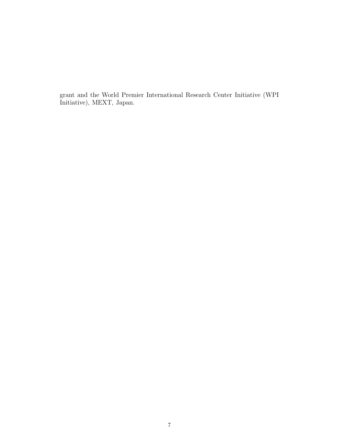grant and the World Premier International Research Center Initiative (WPI Initiative), MEXT, Japan.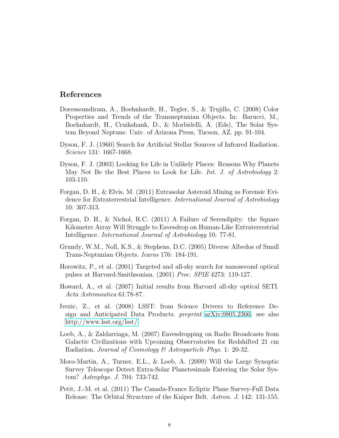### References

- <span id="page-8-6"></span>Doressoundiram, A., Boehnhardt, H., Tegler, S., & Trujillo, C. (2008) Color Properties and Trends of the Transneptunian Objects. In: Barucci, M., Boehnhardt, H., Cruikshank, D., & Morbidelli, A. (Eds), The Solar System Beyond Neptune. Univ. of Arizona Press, Tucson, AZ. pp. 91-104.
- <span id="page-8-4"></span>Dyson, F. J. (1960) Search for Artificial Stellar Sources of Infrared Radiation. Science 131: 1667-1668.
- <span id="page-8-2"></span>Dyson, F. J. (2003) Looking for Life in Unlikely Places: Reasons Why Planets May Not Be the Best Places to Look for Life. Int. J. of Astrobiology 2: 103-110.
- <span id="page-8-3"></span>Forgan, D. H., & Elvis, M. (2011) Extrasolar Asteroid Mining as Forensic Evidence for Extraterrestrial Intelligence. International Journal of Astrobiology 10: 307-313.
- <span id="page-8-5"></span>Forgan, D. H., & Nichol, R.C. (2011) A Failure of Serendipity: the Square Kilometre Array Will Struggle to Eavesdrop on Human-Like Extraterrestrial Intelligence. International Journal of Astrobiology 10: 77-81.
- <span id="page-8-8"></span>Grundy, W.M., Noll, K.S., & Stephens, D.C. (2005) Diverse Albedos of Small Trans-Neptunian Objects. Icarus 176: 184-191.
- <span id="page-8-1"></span>Horowitz, P., et al. (2001) Targeted and all-sky search for nanosecond optical pulses at Harvard-Smithsonian. (2001) Proc. SPIE 4273: 119-127.
- <span id="page-8-0"></span>Howard, A., et al. (2007) Initial results from Harvard all-sky optical SETI. Acta Astronautica 61:78-87.
- <span id="page-8-10"></span>Ivezic, Z., et al. (2008) LSST: from Science Drivers to Reference Design and Anticipated Data Products. preprint [arXiv:0805.2366;](http://arxiv.org/abs/0805.2366) see also [http://www.lsst.org/lsst/.](http://www.lsst.org/lsst/)
- <span id="page-8-9"></span>Loeb, A., & Zaldarriaga, M. (2007) Eavesdropping on Radio Broadcasts from Galactic Civilizations with Upcoming Observatories for Redshifted 21 cm Radiation. Journal of Cosmology & Astroparticle Phys. 1: 20-32.
- <span id="page-8-11"></span>Moro-Martin, A., Turner, E.L., & Loeb, A. (2009) Will the Large Synoptic Survey Telescope Detect Extra-Solar Planetesimals Entering the Solar System? Astrophys. J. 704: 733-742.
- <span id="page-8-7"></span>Petit, J.-M. et al. (2011) The Canada-France Ecliptic Plane Survey-Full Data Release: The Orbital Structure of the Kuiper Belt. *Astron. J.* 142: 131-155.